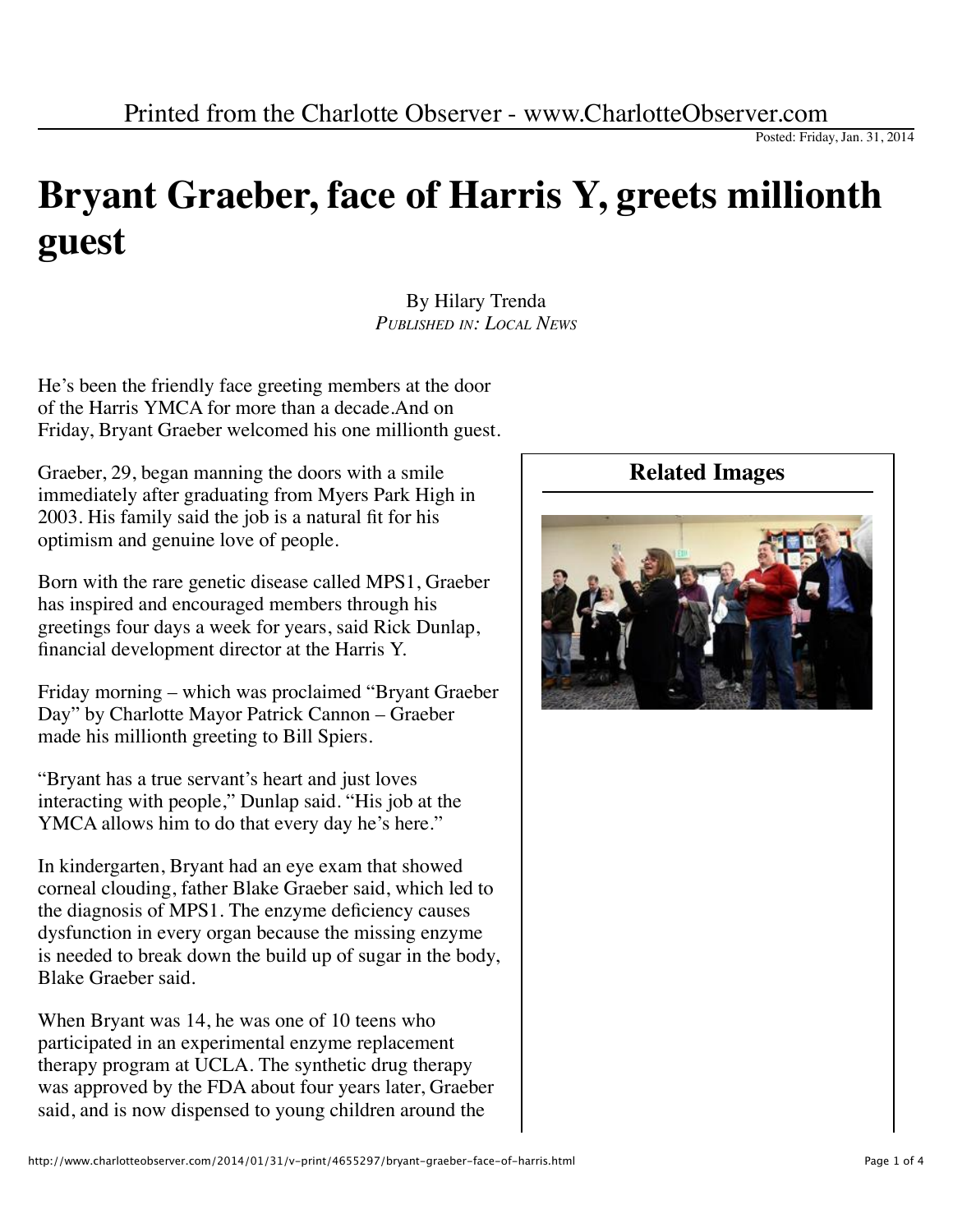## **Bryant Graeber, face of Harris Y, greets millionth guest**

By Hilary Trenda *PUBLISHED IN: LOCAL NEWS*

He's been the friendly face greeting members at the door of the Harris YMCA for more than a decade.And on Friday, Bryant Graeber welcomed his one millionth guest.

Graeber, 29, began manning the doors with a smile immediately after graduating from Myers Park High in 2003. His family said the job is a natural fit for his optimism and genuine love of people.

Born with the rare genetic disease called MPS1, Graeber has inspired and encouraged members through his greetings four days a week for years, said Rick Dunlap, financial development director at the Harris Y.

Friday morning – which was proclaimed "Bryant Graeber Day" by Charlotte Mayor Patrick Cannon – Graeber made his millionth greeting to Bill Spiers.

"Bryant has a true servant's heart and just loves interacting with people," Dunlap said. "His job at the YMCA allows him to do that every day he's here."

In kindergarten, Bryant had an eye exam that showed corneal clouding, father Blake Graeber said, which led to the diagnosis of MPS1. The enzyme deficiency causes dysfunction in every organ because the missing enzyme is needed to break down the build up of sugar in the body, Blake Graeber said.

When Bryant was 14, he was one of 10 teens who participated in an experimental enzyme replacement therapy program at UCLA. The synthetic drug therapy was approved by the FDA about four years later, Graeber said, and is now dispensed to young children around the

## **Related Images**